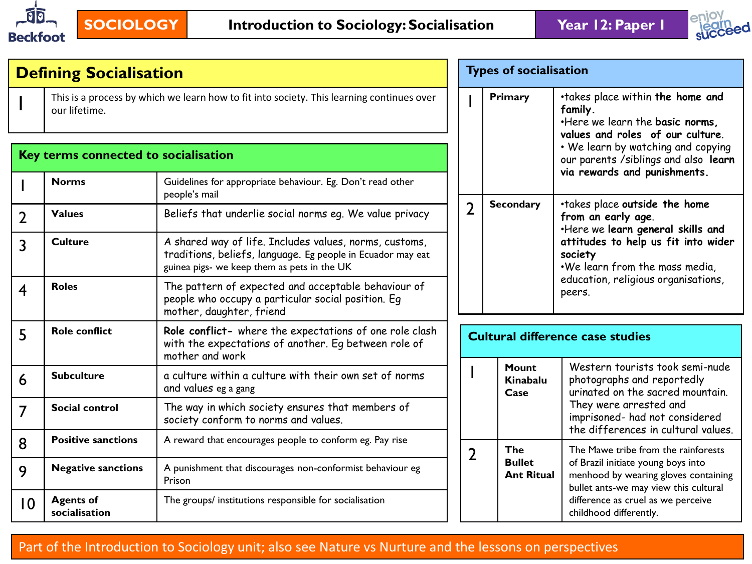



|                 | <b>Defining Socialisation</b>        |                                                                                                                                                                      |  | <b>Types of socialisation</b> |                                    |                                                                                                                     |  |  |
|-----------------|--------------------------------------|----------------------------------------------------------------------------------------------------------------------------------------------------------------------|--|-------------------------------|------------------------------------|---------------------------------------------------------------------------------------------------------------------|--|--|
|                 | our lifetime.                        | This is a process by which we learn how to fit into society. This learning continues over                                                                            |  |                               | Primary                            | .takes place within the home and<br>family.<br>. Here we learn the basic norms,<br>values and roles of our culture. |  |  |
|                 | Key terms connected to socialisation |                                                                                                                                                                      |  |                               |                                    | . We learn by watching and copying<br>our parents / siblings and also learn<br>via rewards and punishments.         |  |  |
|                 | <b>Norms</b>                         | Guidelines for appropriate behaviour. Eg. Don't read other<br>people's mail                                                                                          |  |                               |                                    |                                                                                                                     |  |  |
| າ               | <b>Values</b>                        | Beliefs that underlie social norms eq. We value privacy                                                                                                              |  | $\overline{2}$                | <b>Secondary</b>                   | .takes place outside the home<br>from an early age.<br>. Here we learn general skills and                           |  |  |
| 3               | <b>Culture</b>                       | A shared way of life. Includes values, norms, customs,<br>traditions, beliefs, language. Eg people in Ecuador may eat<br>guinea pigs- we keep them as pets in the UK |  |                               |                                    | attitudes to help us fit into wider<br>society<br>.We learn from the mass media,                                    |  |  |
| 4               | <b>Roles</b>                         | The pattern of expected and acceptable behaviour of<br>people who occupy a particular social position. Eg<br>mother, daughter, friend                                |  |                               |                                    | education, religious organisations,<br>peers.                                                                       |  |  |
| 5               | <b>Role conflict</b>                 | Role conflict- where the expectations of one role clash<br>with the expectations of another. Eq between role of<br>mother and work                                   |  |                               |                                    | <b>Cultural difference case studies</b>                                                                             |  |  |
| 6               | <b>Subculture</b>                    | a culture within a culture with their own set of norms<br>and values eg a gang                                                                                       |  |                               | Mount<br>Kinabalu<br>Case          | Western tourists took semi-nude<br>photographs and reportedly<br>urinated on the sacred mountain.                   |  |  |
| 7               | Social control                       | The way in which society ensures that members of<br>society conform to norms and values.                                                                             |  |                               |                                    | They were arrested and<br>imprisoned- had not considered<br>the differences in cultural values.                     |  |  |
| 8               | <b>Positive sanctions</b>            | A reward that encourages people to conform eg. Pay rise                                                                                                              |  | 2                             | The                                | The Mawe tribe from the rainforests                                                                                 |  |  |
| 9               | <b>Negative sanctions</b>            | A punishment that discourages non-conformist behaviour eg<br>Prison                                                                                                  |  |                               | <b>Bullet</b><br><b>Ant Ritual</b> | of Brazil initiate young boys into<br>menhood by wearing gloves containing<br>bullet ants-we may view this cultural |  |  |
| $\overline{10}$ | <b>Agents of</b><br>socialisation    | The groups/ institutions responsible for socialisation                                                                                                               |  |                               |                                    | difference as cruel as we perceive<br>childhood differently.                                                        |  |  |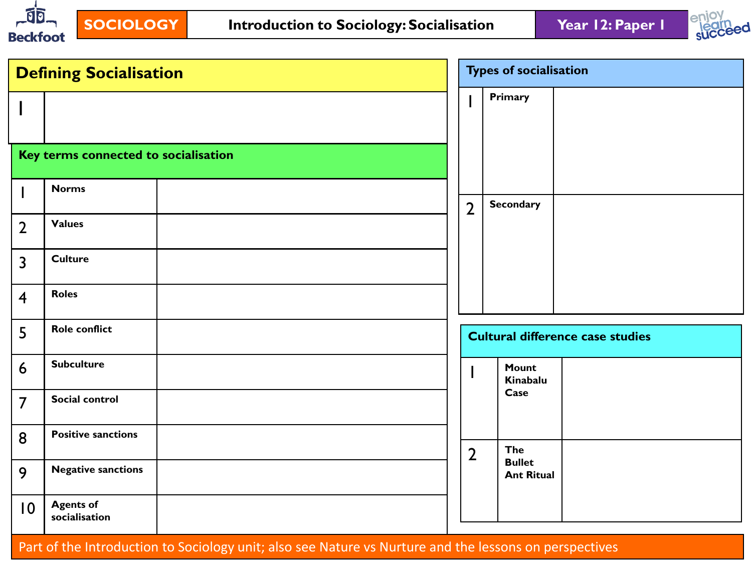



|                 | <b>Defining Socialisation</b><br>Key terms connected to socialisation<br><b>Norms</b><br>I<br><b>Values</b><br>$\overline{2}$<br><b>Culture</b><br>$\overline{3}$<br><b>Roles</b><br>$\overline{4}$<br><b>Role conflict</b><br>5<br><b>Subculture</b><br>6<br>Social control<br>$\overline{7}$<br><b>Positive sanctions</b><br>8<br><b>Negative sanctions</b> |  | <b>Types of socialisation</b> |                                         |  |
|-----------------|---------------------------------------------------------------------------------------------------------------------------------------------------------------------------------------------------------------------------------------------------------------------------------------------------------------------------------------------------------------|--|-------------------------------|-----------------------------------------|--|
|                 |                                                                                                                                                                                                                                                                                                                                                               |  |                               | Primary                                 |  |
|                 |                                                                                                                                                                                                                                                                                                                                                               |  |                               |                                         |  |
|                 |                                                                                                                                                                                                                                                                                                                                                               |  |                               |                                         |  |
|                 |                                                                                                                                                                                                                                                                                                                                                               |  | $\overline{2}$                | <b>Secondary</b>                        |  |
|                 |                                                                                                                                                                                                                                                                                                                                                               |  |                               |                                         |  |
|                 |                                                                                                                                                                                                                                                                                                                                                               |  |                               |                                         |  |
|                 |                                                                                                                                                                                                                                                                                                                                                               |  |                               |                                         |  |
|                 |                                                                                                                                                                                                                                                                                                                                                               |  |                               | <b>Cultural difference case studies</b> |  |
|                 |                                                                                                                                                                                                                                                                                                                                                               |  |                               | Mount<br>Kinabalu                       |  |
|                 |                                                                                                                                                                                                                                                                                                                                                               |  |                               | Case                                    |  |
|                 |                                                                                                                                                                                                                                                                                                                                                               |  | $\overline{2}$                | The                                     |  |
| 9               |                                                                                                                                                                                                                                                                                                                                                               |  |                               | <b>Bullet</b><br><b>Ant Ritual</b>      |  |
| $\overline{10}$ | <b>Agents of</b><br>socialisation                                                                                                                                                                                                                                                                                                                             |  |                               |                                         |  |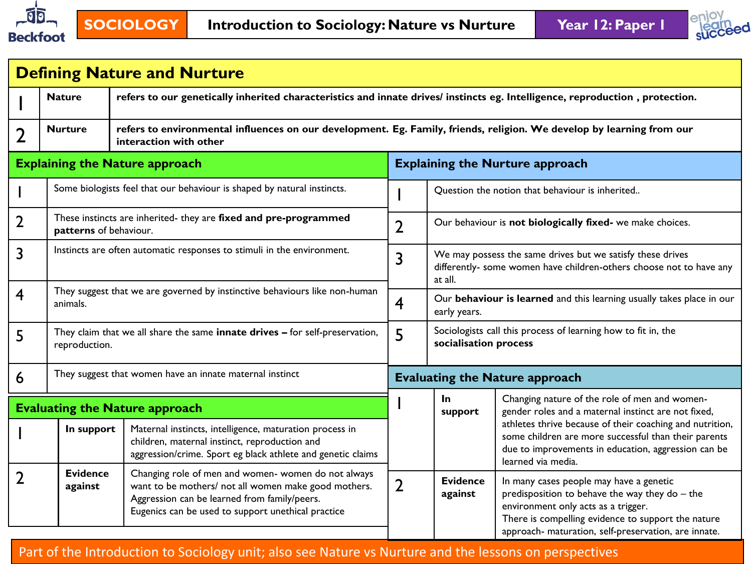



|   |                            | <b>Defining Nature and Nurture</b>                                                                                                                                                                                |                                        |                                                                                                                                              |                                                                                                                                                                                                                                                |  |  |  |
|---|----------------------------|-------------------------------------------------------------------------------------------------------------------------------------------------------------------------------------------------------------------|----------------------------------------|----------------------------------------------------------------------------------------------------------------------------------------------|------------------------------------------------------------------------------------------------------------------------------------------------------------------------------------------------------------------------------------------------|--|--|--|
|   | <b>Nature</b>              | refers to our genetically inherited characteristics and innate drives/ instincts eg. Intelligence, reproduction, protection.                                                                                      |                                        |                                                                                                                                              |                                                                                                                                                                                                                                                |  |  |  |
| 2 | <b>Nurture</b>             | refers to environmental influences on our development. Eg. Family, friends, religion. We develop by learning from our<br>interaction with other                                                                   |                                        |                                                                                                                                              |                                                                                                                                                                                                                                                |  |  |  |
|   |                            | <b>Explaining the Nature approach</b>                                                                                                                                                                             | <b>Explaining the Nurture approach</b> |                                                                                                                                              |                                                                                                                                                                                                                                                |  |  |  |
|   |                            | Some biologists feel that our behaviour is shaped by natural instincts.                                                                                                                                           |                                        |                                                                                                                                              | Question the notion that behaviour is inherited                                                                                                                                                                                                |  |  |  |
| 2 | patterns of behaviour.     | These instincts are inherited- they are fixed and pre-programmed                                                                                                                                                  | $\overline{2}$                         |                                                                                                                                              | Our behaviour is not biologically fixed- we make choices.                                                                                                                                                                                      |  |  |  |
| 3 |                            | Instincts are often automatic responses to stimuli in the environment.                                                                                                                                            | 3                                      | We may possess the same drives but we satisfy these drives<br>differently- some women have children-others choose not to have any<br>at all. |                                                                                                                                                                                                                                                |  |  |  |
| 4 | animals.                   | They suggest that we are governed by instinctive behaviours like non-human                                                                                                                                        | $\overline{\mathbf{4}}$                | Our behaviour is learned and this learning usually takes place in our<br>early years.                                                        |                                                                                                                                                                                                                                                |  |  |  |
| 5 | reproduction.              | They claim that we all share the same innate drives - for self-preservation,                                                                                                                                      | 5                                      | Sociologists call this process of learning how to fit in, the<br>socialisation process                                                       |                                                                                                                                                                                                                                                |  |  |  |
| 6 |                            | They suggest that women have an innate maternal instinct                                                                                                                                                          | <b>Evaluating the Nature approach</b>  |                                                                                                                                              |                                                                                                                                                                                                                                                |  |  |  |
|   |                            | <b>Evaluating the Nature approach</b>                                                                                                                                                                             |                                        | $\ln$<br>support                                                                                                                             | Changing nature of the role of men and women-<br>gender roles and a maternal instinct are not fixed,                                                                                                                                           |  |  |  |
|   | In support                 | Maternal instincts, intelligence, maturation process in<br>children, maternal instinct, reproduction and<br>aggression/crime. Sport eg black athlete and genetic claims                                           |                                        |                                                                                                                                              | athletes thrive because of their coaching and nutrition,<br>some children are more successful than their parents<br>due to improvements in education, aggression can be<br>learned via media.                                                  |  |  |  |
|   | <b>Evidence</b><br>against | Changing role of men and women- women do not always<br>want to be mothers/ not all women make good mothers.<br>Aggression can be learned from family/peers.<br>Eugenics can be used to support unethical practice | $\overline{2}$                         | <b>Evidence</b><br>against                                                                                                                   | In many cases people may have a genetic<br>predisposition to behave the way they do - the<br>environment only acts as a trigger.<br>There is compelling evidence to support the nature<br>approach- maturation, self-preservation, are innate. |  |  |  |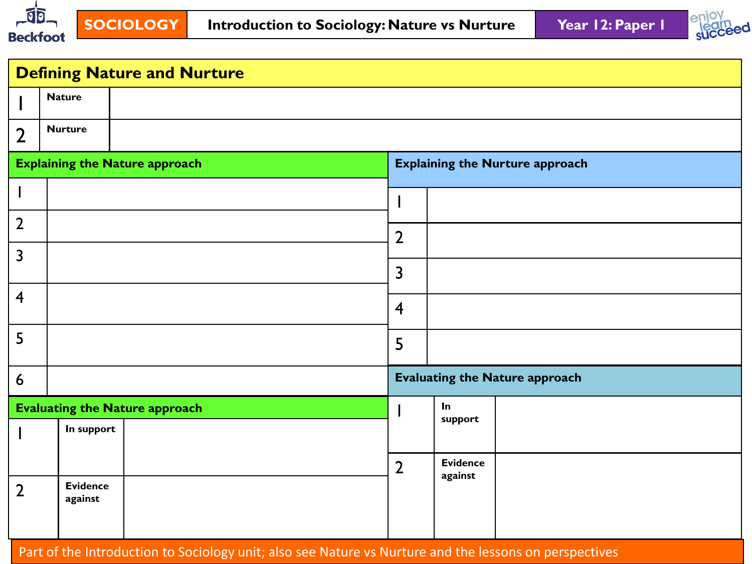



|                | <b>Defining Nature and Nurture</b> |                                       |                |                                        |  |  |  |  |  |
|----------------|------------------------------------|---------------------------------------|----------------|----------------------------------------|--|--|--|--|--|
|                | <b>Nature</b>                      |                                       |                |                                        |  |  |  |  |  |
| $\overline{2}$ | <b>Nurture</b>                     |                                       |                |                                        |  |  |  |  |  |
|                |                                    | <b>Explaining the Nature approach</b> |                | <b>Explaining the Nurture approach</b> |  |  |  |  |  |
|                |                                    |                                       |                |                                        |  |  |  |  |  |
| $\overline{2}$ |                                    |                                       | $\overline{2}$ |                                        |  |  |  |  |  |
| $\overline{3}$ |                                    |                                       | $\overline{3}$ |                                        |  |  |  |  |  |
| $\overline{4}$ |                                    |                                       |                |                                        |  |  |  |  |  |
|                |                                    |                                       | $\overline{4}$ |                                        |  |  |  |  |  |
| 5              |                                    |                                       | 5              |                                        |  |  |  |  |  |
| 6              |                                    |                                       |                | <b>Evaluating the Nature approach</b>  |  |  |  |  |  |
|                |                                    | <b>Evaluating the Nature approach</b> |                | In<br>support                          |  |  |  |  |  |
|                | In support                         |                                       |                |                                        |  |  |  |  |  |
|                |                                    |                                       | $\overline{2}$ | <b>Evidence</b><br>against             |  |  |  |  |  |
| $\overline{2}$ | <b>Evidence</b><br>against         |                                       |                |                                        |  |  |  |  |  |
|                |                                    |                                       |                |                                        |  |  |  |  |  |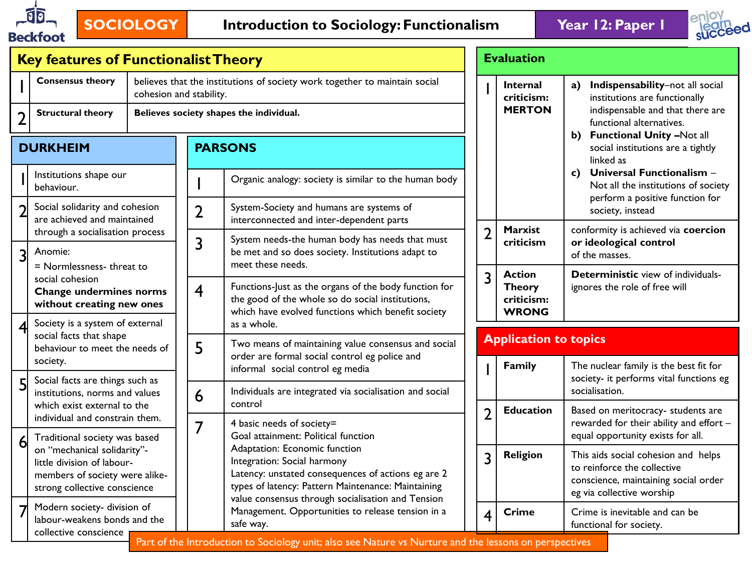

# **SOCIOLOGY Introduction to Sociology: Functionalism Year 12: Paper 1**



| <b>Key features of Functionalist Theory</b>                                                                |                                                                                                                                                                                                           |  |                         |                                                                                                                                                                 |                              | <b>Evaluation</b>                                                                                                                       |                                                                                 |                                                                               |
|------------------------------------------------------------------------------------------------------------|-----------------------------------------------------------------------------------------------------------------------------------------------------------------------------------------------------------|--|-------------------------|-----------------------------------------------------------------------------------------------------------------------------------------------------------------|------------------------------|-----------------------------------------------------------------------------------------------------------------------------------------|---------------------------------------------------------------------------------|-------------------------------------------------------------------------------|
| <b>Consensus theory</b>                                                                                    |                                                                                                                                                                                                           |  | cohesion and stability. | believes that the institutions of society work together to maintain social                                                                                      |                              | <b>Internal</b><br>criticism:                                                                                                           |                                                                                 | a) Indispensability-not all social<br>institutions are functionally           |
| <b>Structural theory</b><br>つ                                                                              |                                                                                                                                                                                                           |  |                         | Believes society shapes the individual.                                                                                                                         |                              | <b>MERTON</b>                                                                                                                           |                                                                                 | indispensable and that there are<br>functional alternatives.                  |
| <b>PARSONS</b><br><b>DURKHEIM</b>                                                                          |                                                                                                                                                                                                           |  |                         |                                                                                                                                                                 |                              |                                                                                                                                         | b) Functional Unity -Not all<br>social institutions are a tightly<br>linked as  |                                                                               |
| Institutions shape our<br>behaviour.                                                                       |                                                                                                                                                                                                           |  |                         | Organic analogy: society is similar to the human body                                                                                                           |                              |                                                                                                                                         | c) Universal Functionalism -<br>Not all the institutions of society             |                                                                               |
| Social solidarity and cohesion<br>are achieved and maintained                                              |                                                                                                                                                                                                           |  | $\overline{2}$          | System-Society and humans are systems of<br>interconnected and inter-dependent parts                                                                            |                              |                                                                                                                                         |                                                                                 | perform a positive function for<br>society, instead                           |
| through a socialisation process<br>Anomie:<br>3                                                            |                                                                                                                                                                                                           |  |                         | System needs-the human body has needs that must<br>be met and so does society. Institutions adapt to<br>meet these needs.                                       | $\overline{2}$               | <b>Marxist</b><br>criticism                                                                                                             | conformity is achieved via coercion<br>or ideological control<br>of the masses. |                                                                               |
| = Normlessness-threat to<br>social cohesion<br><b>Change undermines norms</b><br>without creating new ones |                                                                                                                                                                                                           |  | $\overline{\mathbf{4}}$ | Functions-Just as the organs of the body function for<br>the good of the whole so do social institutions,<br>which have evolved functions which benefit society | 3                            | <b>Action</b><br><b>Theory</b><br>criticism:<br><b>WRONG</b>                                                                            |                                                                                 | <b>Deterministic view of individuals-</b><br>ignores the role of free will    |
| Society is a system of external<br>social facts that shape                                                 |                                                                                                                                                                                                           |  |                         | as a whole.                                                                                                                                                     | <b>Application to topics</b> |                                                                                                                                         |                                                                                 |                                                                               |
| behaviour to meet the needs of<br>society.                                                                 |                                                                                                                                                                                                           |  | 5                       | Two means of maintaining value consensus and social<br>order are formal social control eg police and<br>informal social control eg media                        |                              | Family                                                                                                                                  | The nuclear family is the best fit for                                          |                                                                               |
| Social facts are things such as<br>institutions, norms and values                                          |                                                                                                                                                                                                           |  | 6                       | Individuals are integrated via socialisation and social                                                                                                         |                              |                                                                                                                                         | socialisation.                                                                  | society- it performs vital functions eg                                       |
| which exist external to the<br>individual and constrain them.                                              |                                                                                                                                                                                                           |  |                         | control<br>4 basic needs of society=                                                                                                                            | $\overline{2}$               | <b>Education</b>                                                                                                                        |                                                                                 | Based on meritocracy- students are<br>rewarded for their ability and effort - |
| Traditional society was based                                                                              |                                                                                                                                                                                                           |  |                         | Goal attainment: Political function<br>Adaptation: Economic function                                                                                            |                              |                                                                                                                                         |                                                                                 | equal opportunity exists for all.                                             |
| little division of labour-                                                                                 | Integration: Social harmony<br>Latency: unstated consequences of actions eg are 2<br>members of society were alike-<br>types of latency: Pattern Maintenance: Maintaining<br>strong collective conscience |  |                         |                                                                                                                                                                 |                              | This aids social cohesion and helps<br>to reinforce the collective<br>conscience, maintaining social order<br>eg via collective worship |                                                                                 |                                                                               |
| Modern society- division of<br>labour-weakens bonds and the                                                |                                                                                                                                                                                                           |  |                         | Management. Opportunities to release tension in a<br>safe way.                                                                                                  | 4                            | <b>Crime</b>                                                                                                                            |                                                                                 | Crime is inevitable and can be<br>functional for society.                     |
| on "mechanical solidarity"-<br>collective conscience                                                       |                                                                                                                                                                                                           |  | 7                       | value consensus through socialisation and Tension<br>Part of the Introduction to Sociology unit; also see Nature vs Nurture and the lessons on perspectives     | 3                            | <b>Religion</b>                                                                                                                         |                                                                                 |                                                                               |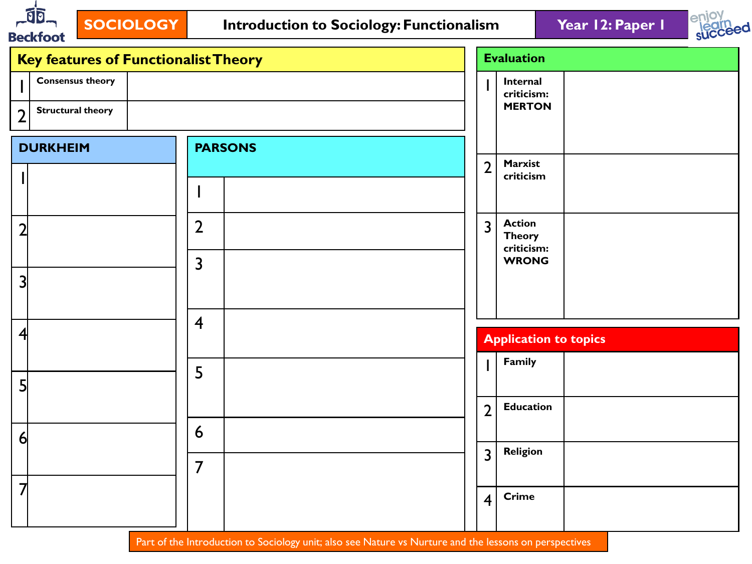



| <b>Key features of Functionalist Theory</b> |                         |                | <b>Evaluation</b>                            |
|---------------------------------------------|-------------------------|----------------|----------------------------------------------|
| <b>Consensus theory</b>                     |                         |                | Internal<br>criticism:<br><b>MERTON</b>      |
| <b>Structural theory</b><br>$\overline{2}$  |                         |                |                                              |
| <b>DURKHEIM</b>                             | <b>PARSONS</b>          |                |                                              |
|                                             |                         | $\overline{2}$ | Marxist<br>criticism                         |
|                                             | I                       |                |                                              |
| $\overline{2}$                              | $\overline{2}$          | $\overline{3}$ | <b>Action</b><br><b>Theory</b><br>criticism: |
|                                             | $\overline{\mathbf{3}}$ |                | <b>WRONG</b>                                 |
| 3                                           |                         |                |                                              |
|                                             | $\overline{4}$          |                |                                              |
| $\overline{4}$                              |                         |                | <b>Application to topics</b>                 |
|                                             | 5                       |                | Family                                       |
| 5                                           |                         |                |                                              |
|                                             |                         | $\overline{2}$ | <b>Education</b>                             |
| $\overline{6}$                              | 6                       |                |                                              |
|                                             | $\overline{7}$          | $\overline{3}$ | <b>Religion</b>                              |
| $\overline{7}$                              |                         | $\overline{4}$ | <b>Crime</b>                                 |
|                                             |                         |                |                                              |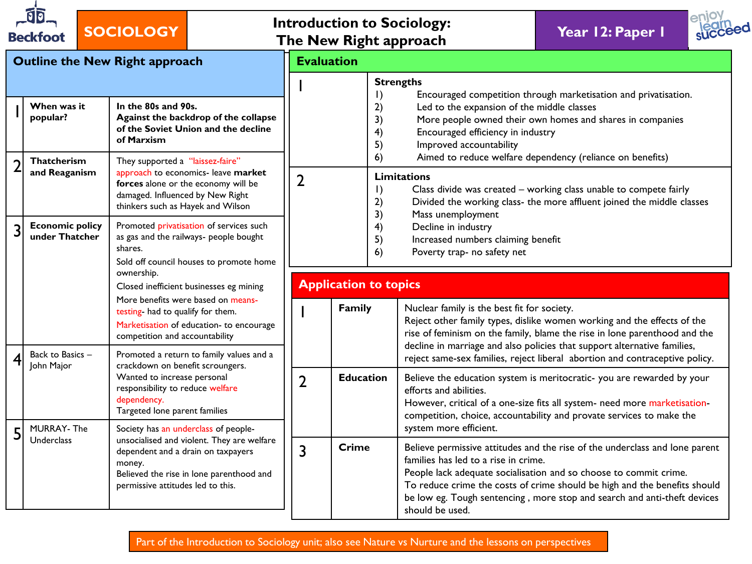| ថា<br><b>Beckfoot</b>                    | <b>SOCIOLOGY</b>                                                                                                                                                                                                    |                                                                                                                                 | <b>Introduction to Sociology:</b><br>The New Right approach |                                                                                                                                                                                                                                                                                                                                                                                                | Year 12: Paper 1                                                                                                                                                                                                           |  |  |  |  |
|------------------------------------------|---------------------------------------------------------------------------------------------------------------------------------------------------------------------------------------------------------------------|---------------------------------------------------------------------------------------------------------------------------------|-------------------------------------------------------------|------------------------------------------------------------------------------------------------------------------------------------------------------------------------------------------------------------------------------------------------------------------------------------------------------------------------------------------------------------------------------------------------|----------------------------------------------------------------------------------------------------------------------------------------------------------------------------------------------------------------------------|--|--|--|--|
|                                          | <b>Outline the New Right approach</b>                                                                                                                                                                               | <b>Evaluation</b>                                                                                                               |                                                             |                                                                                                                                                                                                                                                                                                                                                                                                |                                                                                                                                                                                                                            |  |  |  |  |
| When was it<br>popular?<br>Thatcherism   | In the 80s and 90s.<br>Against the backdrop of the collapse<br>of the Soviet Union and the decline<br>of Marxism<br>They supported a "laissez-faire"                                                                |                                                                                                                                 | $\vert$ )<br>2)<br>3)<br>4)<br>5)<br>6)                     | <b>Strengths</b><br>Led to the expansion of the middle classes<br>Encouraged efficiency in industry<br>Improved accountability<br>Aimed to reduce welfare dependency (reliance on benefits)                                                                                                                                                                                                    | Encouraged competition through marketisation and privatisation.<br>More people owned their own homes and shares in companies                                                                                               |  |  |  |  |
| and Reaganism                            | approach to economics- leave market<br>forces alone or the economy will be<br>damaged. Influenced by New Right<br>thinkers such as Hayek and Wilson                                                                 | $\overline{2}$                                                                                                                  | <b>Limitations</b><br>$\vert$ )<br>2)<br>3)                 | Class divide was created - working class unable to compete fairly<br>Divided the working class- the more affluent joined the middle classes                                                                                                                                                                                                                                                    |                                                                                                                                                                                                                            |  |  |  |  |
| <b>Economic policy</b><br>under Thatcher | Promoted privatisation of services such<br>as gas and the railways- people bought<br>shares.<br>Sold off council houses to promote home                                                                             | Mass unemployment<br>4)<br>Decline in industry<br>5)<br>Increased numbers claiming benefit<br>6)<br>Poverty trap- no safety net |                                                             |                                                                                                                                                                                                                                                                                                                                                                                                |                                                                                                                                                                                                                            |  |  |  |  |
|                                          | ownership.<br>Closed inefficient businesses eg mining                                                                                                                                                               |                                                                                                                                 | <b>Application to topics</b>                                |                                                                                                                                                                                                                                                                                                                                                                                                |                                                                                                                                                                                                                            |  |  |  |  |
|                                          | More benefits were based on means-<br>testing- had to qualify for them.<br>Marketisation of education- to encourage<br>competition and accountability                                                               |                                                                                                                                 | Family                                                      | Nuclear family is the best fit for society.                                                                                                                                                                                                                                                                                                                                                    | Reject other family types, dislike women working and the effects of the<br>rise of feminism on the family, blame the rise in lone parenthood and the                                                                       |  |  |  |  |
| Back to Basics -<br>John Major           | Promoted a return to family values and a<br>crackdown on benefit scroungers.                                                                                                                                        |                                                                                                                                 |                                                             |                                                                                                                                                                                                                                                                                                                                                                                                | decline in marriage and also policies that support alternative families,<br>reject same-sex families, reject liberal abortion and contraceptive policy.                                                                    |  |  |  |  |
|                                          | Wanted to increase personal<br>$\overline{2}$<br>responsibility to reduce welfare<br>dependency.<br>Targeted lone parent families                                                                                   |                                                                                                                                 | <b>Education</b>                                            | efforts and abilities.                                                                                                                                                                                                                                                                                                                                                                         | Believe the education system is meritocratic-you are rewarded by your<br>However, critical of a one-size fits all system- need more marketisation-<br>competition, choice, accountability and provate services to make the |  |  |  |  |
| <b>MURRAY-The</b><br>Underclass          | Society has an underclass of people-<br>unsocialised and violent. They are welfare<br>dependent and a drain on taxpayers<br>money.<br>Believed the rise in lone parenthood and<br>permissive attitudes led to this. | 3                                                                                                                               | <b>Crime</b>                                                | system more efficient.<br>Believe permissive attitudes and the rise of the underclass and lone parent<br>families has led to a rise in crime.<br>People lack adequate socialisation and so choose to commit crime.<br>To reduce crime the costs of crime should be high and the benefits should<br>be low eg. Tough sentencing, more stop and search and anti-theft devices<br>should be used. |                                                                                                                                                                                                                            |  |  |  |  |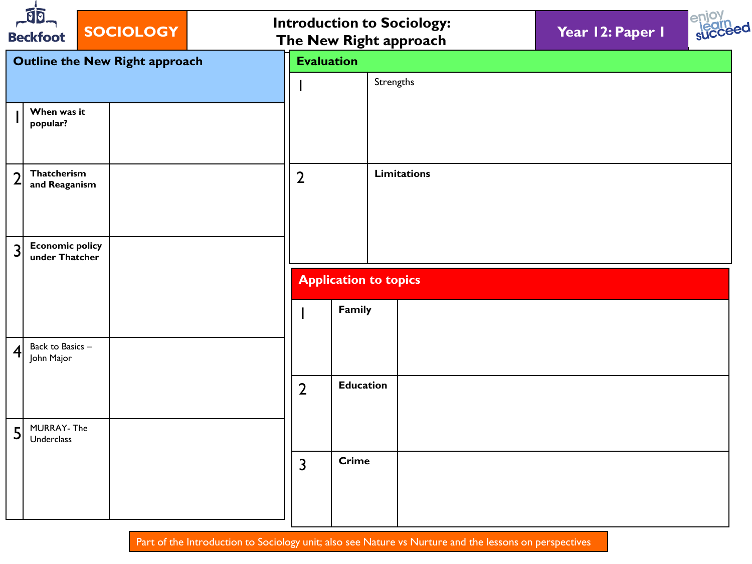|                | $\sqrt{2}$<br><b>Beckfoot</b>            | <b>SOCIOLOGY</b>                      |                |                              | <b>Introduction to Sociology:</b><br>The New Right approach | Year 12: Paper 1 |  |  |  |  |  |
|----------------|------------------------------------------|---------------------------------------|----------------|------------------------------|-------------------------------------------------------------|------------------|--|--|--|--|--|
|                |                                          | <b>Outline the New Right approach</b> |                | <b>Evaluation</b>            |                                                             |                  |  |  |  |  |  |
|                |                                          |                                       |                |                              | Strengths                                                   |                  |  |  |  |  |  |
|                | When was it<br>popular?                  |                                       |                |                              |                                                             |                  |  |  |  |  |  |
|                | Thatcherism<br>and Reaganism             |                                       | $\overline{2}$ |                              | <b>Limitations</b>                                          |                  |  |  |  |  |  |
| 3              | <b>Economic policy</b><br>under Thatcher |                                       |                |                              |                                                             |                  |  |  |  |  |  |
|                |                                          |                                       |                | <b>Application to topics</b> |                                                             |                  |  |  |  |  |  |
|                |                                          |                                       |                | Family                       |                                                             |                  |  |  |  |  |  |
| 4              | Back to Basics -<br>John Major           |                                       |                |                              |                                                             |                  |  |  |  |  |  |
|                |                                          |                                       | $\overline{2}$ | <b>Education</b>             |                                                             |                  |  |  |  |  |  |
| 5 <sup>1</sup> | MURRAY- The<br>Underclass                |                                       |                |                              |                                                             |                  |  |  |  |  |  |
|                |                                          |                                       | $\overline{3}$ | <b>Crime</b>                 |                                                             |                  |  |  |  |  |  |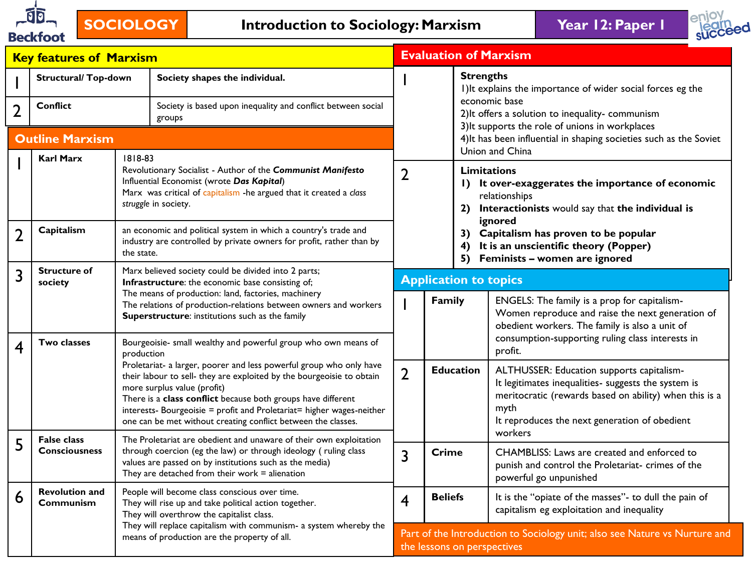



|                | <b>Key features of Marxism</b>                                                                                    |                                                                                                                                                                 |                                                                                                                                                                                                                                                                                                                                                                                       |                | <b>Evaluation of Marxism</b>                                                                              |                                                                                                                                                                                                                                         |  |
|----------------|-------------------------------------------------------------------------------------------------------------------|-----------------------------------------------------------------------------------------------------------------------------------------------------------------|---------------------------------------------------------------------------------------------------------------------------------------------------------------------------------------------------------------------------------------------------------------------------------------------------------------------------------------------------------------------------------------|----------------|-----------------------------------------------------------------------------------------------------------|-----------------------------------------------------------------------------------------------------------------------------------------------------------------------------------------------------------------------------------------|--|
|                | <b>Structural/ Top-down</b>                                                                                       |                                                                                                                                                                 | Society shapes the individual.                                                                                                                                                                                                                                                                                                                                                        |                |                                                                                                           | <b>Strengths</b><br>I) It explains the importance of wider social forces eg the                                                                                                                                                         |  |
| 2              | <b>Conflict</b>                                                                                                   |                                                                                                                                                                 | Society is based upon inequality and conflict between social<br>groups                                                                                                                                                                                                                                                                                                                |                |                                                                                                           | economic base<br>2) It offers a solution to inequality-communism<br>3) It supports the role of unions in workplaces                                                                                                                     |  |
|                | <b>Outline Marxism</b>                                                                                            |                                                                                                                                                                 |                                                                                                                                                                                                                                                                                                                                                                                       |                |                                                                                                           | 4) It has been influential in shaping societies such as the Soviet<br>Union and China                                                                                                                                                   |  |
|                | <b>Karl Marx</b>                                                                                                  | 1818-83                                                                                                                                                         | Revolutionary Socialist - Author of the Communist Manifesto<br>Influential Economist (wrote Das Kapital)<br>Marx was critical of capitalism -he argued that it created a class<br>struggle in society.                                                                                                                                                                                | $\overline{2}$ |                                                                                                           | <b>Limitations</b><br>I) It over-exaggerates the importance of economic<br>relationships<br>Interactionists would say that the individual is<br>2)                                                                                      |  |
| $\overline{2}$ | Capitalism                                                                                                        | the state.                                                                                                                                                      | an economic and political system in which a country's trade and<br>industry are controlled by private owners for profit, rather than by                                                                                                                                                                                                                                               |                |                                                                                                           | ignored<br>3) Capitalism has proven to be popular<br>It is an unscientific theory (Popper)<br>4)<br>5) Feminists - women are ignored                                                                                                    |  |
| 3              | <b>Structure of</b><br>society                                                                                    | Marx believed society could be divided into 2 parts;<br>Infrastructure: the economic base consisting of;<br>The means of production: land, factories, machinery |                                                                                                                                                                                                                                                                                                                                                                                       |                | <b>Application to topics</b>                                                                              |                                                                                                                                                                                                                                         |  |
|                |                                                                                                                   |                                                                                                                                                                 | The relations of production-relations between owners and workers<br>Superstructure: institutions such as the family                                                                                                                                                                                                                                                                   |                | Family                                                                                                    | ENGELS: The family is a prop for capitalism-<br>Women reproduce and raise the next generation of<br>obedient workers. The family is also a unit of<br>consumption-supporting ruling class interests in                                  |  |
| 4              | <b>Two classes</b>                                                                                                | production                                                                                                                                                      | Bourgeoisie- small wealthy and powerful group who own means of                                                                                                                                                                                                                                                                                                                        |                |                                                                                                           | profit.                                                                                                                                                                                                                                 |  |
|                |                                                                                                                   |                                                                                                                                                                 | Proletariat- a larger, poorer and less powerful group who only have<br>their labour to sell- they are exploited by the bourgeoisie to obtain<br>more surplus value (profit)<br>There is a class conflict because both groups have different<br>interests- Bourgeoisie = profit and Proletariat= higher wages-neither<br>one can be met without creating conflict between the classes. | $\overline{2}$ |                                                                                                           | <b>Education</b><br>ALTHUSSER: Education supports capitalism-<br>It legitimates inequalities- suggests the system is<br>meritocratic (rewards based on ability) when this is a<br>myth<br>It reproduces the next generation of obedient |  |
| 5              | <b>False class</b><br><b>Consciousness</b>                                                                        |                                                                                                                                                                 | The Proletariat are obedient and unaware of their own exploitation<br>through coercion (eg the law) or through ideology (ruling class<br>values are passed on by institutions such as the media)<br>They are detached from their work $=$ alienation                                                                                                                                  | $\overline{3}$ | <b>Crime</b>                                                                                              | workers<br>CHAMBLISS: Laws are created and enforced to<br>punish and control the Proletariat- crimes of the<br>powerful go unpunished                                                                                                   |  |
| 6              | <b>Revolution and</b><br>Communism                                                                                | People will become class conscious over time.<br>They will rise up and take political action together.<br>They will overthrow the capitalist class.             |                                                                                                                                                                                                                                                                                                                                                                                       | $\overline{4}$ | <b>Beliefs</b>                                                                                            | It is the "opiate of the masses"- to dull the pain of<br>capitalism eg exploitation and inequality                                                                                                                                      |  |
|                | They will replace capitalism with communism- a system whereby the<br>means of production are the property of all. |                                                                                                                                                                 |                                                                                                                                                                                                                                                                                                                                                                                       |                | Part of the Introduction to Sociology unit; also see Nature vs Nurture and<br>the lessons on perspectives |                                                                                                                                                                                                                                         |  |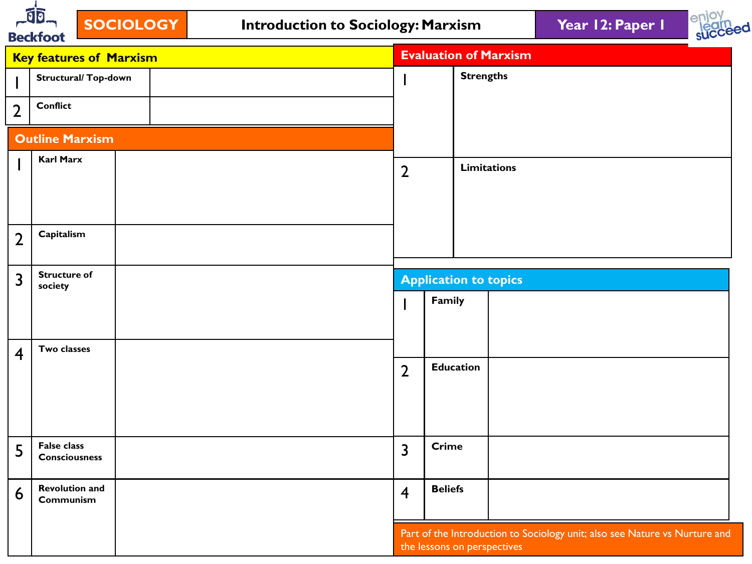



|                         | <b>DECISION</b>                     |                         |                  |                              |                                                                            |
|-------------------------|-------------------------------------|-------------------------|------------------|------------------------------|----------------------------------------------------------------------------|
|                         | <b>Key features of Marxism</b>      |                         |                  | <b>Evaluation of Marxism</b> |                                                                            |
|                         | Structural/ Top-down                |                         |                  | <b>Strengths</b>             |                                                                            |
| $\overline{2}$          | <b>Conflict</b>                     |                         |                  |                              |                                                                            |
|                         | <b>Outline Marxism</b>              |                         |                  |                              |                                                                            |
|                         | <b>Karl Marx</b>                    | $\overline{2}$          |                  | <b>Limitations</b>           |                                                                            |
| $\overline{2}$          | Capitalism                          |                         |                  |                              |                                                                            |
| 3                       | <b>Structure of</b><br>society      |                         |                  | <b>Application to topics</b> |                                                                            |
|                         |                                     |                         | Family           |                              |                                                                            |
| $\overline{\mathbf{4}}$ | Two classes                         |                         |                  |                              |                                                                            |
|                         |                                     | $\overline{2}$          | <b>Education</b> |                              |                                                                            |
| 5                       | False class<br><b>Consciousness</b> | $\overline{\mathbf{3}}$ | <b>Crime</b>     |                              |                                                                            |
| 6                       | <b>Revolution and</b><br>Communism  | $\overline{4}$          | <b>Beliefs</b>   |                              |                                                                            |
|                         |                                     |                         |                  | the lessons on perspectives  | Part of the Introduction to Sociology unit; also see Nature vs Nurture and |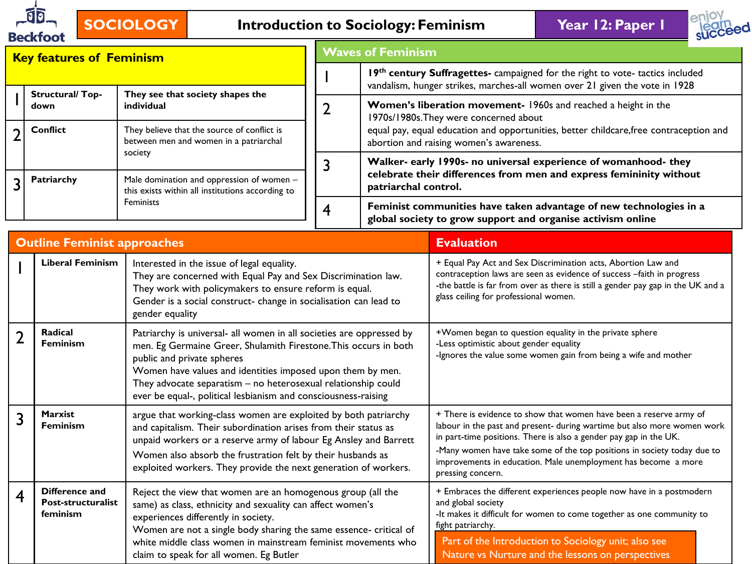

# **SOCIOLOGY Introduction to Sociology: Feminism Year 12: Paper 1**



|                | <b>Key features of Feminism</b>                  |                                                                                                                                                                                                                                                                                                                                                                         | <b>Waves of Feminism</b> |                      |                                                                                                                                                                                                                                                                                                                                                                                      |  |  |  |
|----------------|--------------------------------------------------|-------------------------------------------------------------------------------------------------------------------------------------------------------------------------------------------------------------------------------------------------------------------------------------------------------------------------------------------------------------------------|--------------------------|----------------------|--------------------------------------------------------------------------------------------------------------------------------------------------------------------------------------------------------------------------------------------------------------------------------------------------------------------------------------------------------------------------------------|--|--|--|
|                |                                                  |                                                                                                                                                                                                                                                                                                                                                                         |                          |                      | 19th century Suffragettes- campaigned for the right to vote- tactics included<br>vandalism, hunger strikes, marches-all women over 21 given the vote in 1928                                                                                                                                                                                                                         |  |  |  |
|                | <b>Structural/Top-</b><br>down                   | They see that society shapes the<br>individual                                                                                                                                                                                                                                                                                                                          | $\overline{2}$           |                      | Women's liberation movement- 1960s and reached a height in the<br>1970s/1980s. They were concerned about                                                                                                                                                                                                                                                                             |  |  |  |
| $\overline{2}$ | <b>Conflict</b>                                  | They believe that the source of conflict is<br>between men and women in a patriarchal                                                                                                                                                                                                                                                                                   |                          |                      | equal pay, equal education and opportunities, better childcare, free contraception and<br>abortion and raising women's awareness.                                                                                                                                                                                                                                                    |  |  |  |
| 3              | Patriarchy                                       | society<br>Male domination and oppression of women -                                                                                                                                                                                                                                                                                                                    | $\overline{3}$           | patriarchal control. | Walker- early 1990s- no universal experience of womanhood- they<br>celebrate their differences from men and express femininity without                                                                                                                                                                                                                                               |  |  |  |
|                |                                                  | this exists within all institutions according to<br>Feminists                                                                                                                                                                                                                                                                                                           | $\overline{4}$           |                      | Feminist communities have taken advantage of new technologies in a<br>global society to grow support and organise activism online                                                                                                                                                                                                                                                    |  |  |  |
|                | <b>Outline Feminist approaches</b>               |                                                                                                                                                                                                                                                                                                                                                                         |                          |                      | <b>Evaluation</b>                                                                                                                                                                                                                                                                                                                                                                    |  |  |  |
|                | <b>Liberal Feminism</b>                          | Interested in the issue of legal equality.<br>They are concerned with Equal Pay and Sex Discrimination law.<br>They work with policymakers to ensure reform is equal.<br>Gender is a social construct- change in socialisation can lead to<br>gender equality                                                                                                           |                          |                      | + Equal Pay Act and Sex Discrimination acts, Abortion Law and<br>contraception laws are seen as evidence of success -faith in progress<br>-the battle is far from over as there is still a gender pay gap in the UK and a<br>glass ceiling for professional women.                                                                                                                   |  |  |  |
| $\overline{2}$ | <b>Radical</b><br><b>Feminism</b>                | Patriarchy is universal- all women in all societies are oppressed by<br>men. Eg Germaine Greer, Shulamith Firestone. This occurs in both<br>public and private spheres<br>Women have values and identities imposed upon them by men.<br>They advocate separatism - no heterosexual relationship could<br>ever be equal-, political lesbianism and consciousness-raising |                          |                      | +Women began to question equality in the private sphere<br>-Less optimistic about gender equality<br>-Ignores the value some women gain from being a wife and mother                                                                                                                                                                                                                 |  |  |  |
| 3              | <b>Marxist</b><br><b>Feminism</b>                | argue that working-class women are exploited by both patriarchy<br>and capitalism. Their subordination arises from their status as<br>unpaid workers or a reserve army of labour Eg Ansley and Barrett<br>Women also absorb the frustration felt by their husbands as<br>exploited workers. They provide the next generation of workers.                                |                          |                      | + There is evidence to show that women have been a reserve army of<br>labour in the past and present- during wartime but also more women work<br>in part-time positions. There is also a gender pay gap in the UK.<br>-Many women have take some of the top positions in society today due to<br>improvements in education. Male unemployment has become a more<br>pressing concern. |  |  |  |
| 4              | Difference and<br>Post-structuralist<br>feminism | Reject the view that women are an homogenous group (all the<br>same) as class, ethnicity and sexuality can affect women's<br>experiences differently in society.<br>Women are not a single body sharing the same essence- critical of<br>white middle class women in mainstream feminist movements who<br>claim to speak for all women. Eg Butler                       |                          |                      | + Embraces the different experiences people now have in a postmodern<br>and global society<br>-It makes it difficult for women to come together as one community to<br>fight patriarchy.<br>Part of the Introduction to Sociology unit; also see<br>Nature vs Nurture and the lessons on perspectives                                                                                |  |  |  |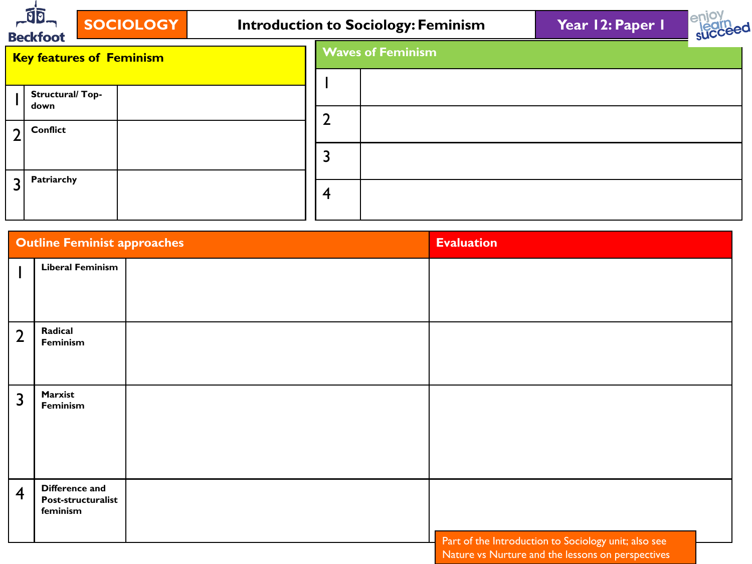|                | $-10$<br><b>Beckfoot</b>        | <b>SOCIOLOGY</b> |   | <b>Introduction to Sociology: Feminism</b> | Year 12: Paper I | <b>SUCCeed</b> |
|----------------|---------------------------------|------------------|---|--------------------------------------------|------------------|----------------|
|                | <b>Key features of Feminism</b> |                  |   | <b>Waves of Feminism</b>                   |                  |                |
|                | Structural/Top-                 |                  |   |                                            |                  |                |
| $\overline{2}$ | down<br><b>Conflict</b>         |                  |   |                                            |                  |                |
|                |                                 |                  |   |                                            |                  |                |
| $\overline{3}$ | Patriarchy                      |                  | 4 |                                            |                  |                |

|                | <b>Outline Feminist approaches</b>               | <b>Evaluation</b>                                    |
|----------------|--------------------------------------------------|------------------------------------------------------|
|                | <b>Liberal Feminism</b>                          |                                                      |
| $\overline{2}$ | Radical<br>Feminism                              |                                                      |
| 3              | Marxist<br>Feminism                              |                                                      |
| $\overline{4}$ | Difference and<br>Post-structuralist<br>feminism | Part of the Introduction to Sociology unit; also see |
|                |                                                  | Nature vs Nurture and the lessons on perspectives    |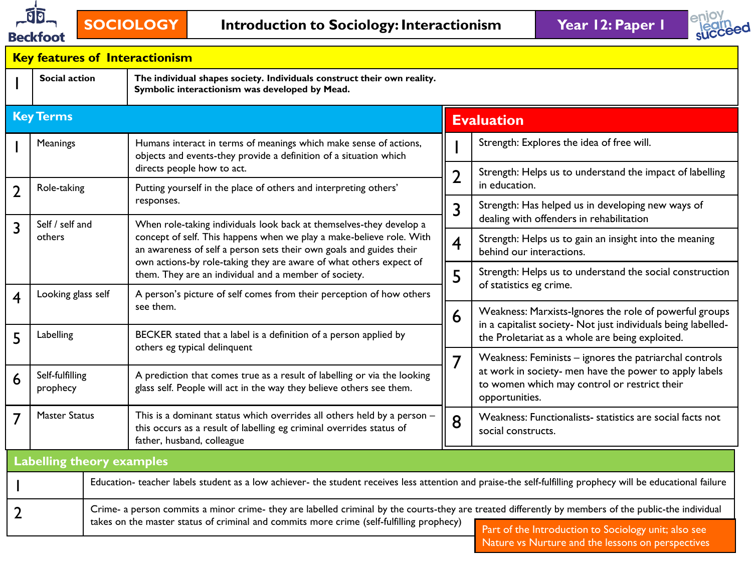



|                                                                                                                                                                                                       |                                                                                              |  | <b>Key features of Interactionism</b>                                                                                                                                                                             |                         |                                                                                                                          |  |  |
|-------------------------------------------------------------------------------------------------------------------------------------------------------------------------------------------------------|----------------------------------------------------------------------------------------------|--|-------------------------------------------------------------------------------------------------------------------------------------------------------------------------------------------------------------------|-------------------------|--------------------------------------------------------------------------------------------------------------------------|--|--|
|                                                                                                                                                                                                       | <b>Social action</b>                                                                         |  | The individual shapes society. Individuals construct their own reality.<br>Symbolic interactionism was developed by Mead.                                                                                         |                         |                                                                                                                          |  |  |
|                                                                                                                                                                                                       | <b>Key Terms</b>                                                                             |  |                                                                                                                                                                                                                   |                         | <b>Evaluation</b>                                                                                                        |  |  |
|                                                                                                                                                                                                       | Meanings                                                                                     |  | Humans interact in terms of meanings which make sense of actions,<br>objects and events-they provide a definition of a situation which                                                                            |                         | Strength: Explores the idea of free will.                                                                                |  |  |
| $\overline{2}$                                                                                                                                                                                        | Role-taking                                                                                  |  | directs people how to act.<br>Putting yourself in the place of others and interpreting others'                                                                                                                    | 2                       | Strength: Helps us to understand the impact of labelling<br>in education.                                                |  |  |
|                                                                                                                                                                                                       |                                                                                              |  | responses.                                                                                                                                                                                                        | 3                       | Strength: Has helped us in developing new ways of                                                                        |  |  |
| 3                                                                                                                                                                                                     | Self / self and                                                                              |  | When role-taking individuals look back at themselves-they develop a                                                                                                                                               |                         | dealing with offenders in rehabilitation                                                                                 |  |  |
|                                                                                                                                                                                                       | others                                                                                       |  | concept of self. This happens when we play a make-believe role. With<br>an awareness of self a person sets their own goals and guides their<br>own actions-by role-taking they are aware of what others expect of | $\overline{\mathbf{4}}$ | Strength: Helps us to gain an insight into the meaning<br>behind our interactions.                                       |  |  |
|                                                                                                                                                                                                       |                                                                                              |  | them. They are an individual and a member of society.                                                                                                                                                             | 5                       | Strength: Helps us to understand the social construction                                                                 |  |  |
| 4                                                                                                                                                                                                     | Looking glass self                                                                           |  | A person's picture of self comes from their perception of how others                                                                                                                                              |                         | of statistics eg crime.                                                                                                  |  |  |
|                                                                                                                                                                                                       |                                                                                              |  | see them.                                                                                                                                                                                                         | 6                       | Weakness: Marxists-Ignores the role of powerful groups<br>in a capitalist society- Not just individuals being labelled-  |  |  |
| 5                                                                                                                                                                                                     | Labelling                                                                                    |  | BECKER stated that a label is a definition of a person applied by                                                                                                                                                 |                         | the Proletariat as a whole are being exploited.                                                                          |  |  |
|                                                                                                                                                                                                       |                                                                                              |  | others eg typical delinquent                                                                                                                                                                                      | 7                       | Weakness: Feminists - ignores the patriarchal controls                                                                   |  |  |
| 6                                                                                                                                                                                                     | Self-fulfilling<br>prophecy                                                                  |  | A prediction that comes true as a result of labelling or via the looking<br>glass self. People will act in the way they believe others see them.                                                                  |                         | at work in society- men have the power to apply labels<br>to women which may control or restrict their<br>opportunities. |  |  |
| 7                                                                                                                                                                                                     | <b>Master Status</b><br>this occurs as a result of labelling eg criminal overrides status of |  | This is a dominant status which overrides all others held by a person -<br>father, husband, colleague                                                                                                             | 8                       | Weakness: Functionalists- statistics are social facts not<br>social constructs.                                          |  |  |
|                                                                                                                                                                                                       | <b>Labelling theory examples</b>                                                             |  |                                                                                                                                                                                                                   |                         |                                                                                                                          |  |  |
|                                                                                                                                                                                                       |                                                                                              |  | Education- teacher labels student as a low achiever- the student receives less attention and praise-the self-fulfilling prophecy will be educational failure                                                      |                         |                                                                                                                          |  |  |
| 2                                                                                                                                                                                                     |                                                                                              |  | Crime- a person commits a minor crime- they are labelled criminal by the courts-they are treated differently by members of the public-the individual                                                              |                         |                                                                                                                          |  |  |
| takes on the master status of criminal and commits more crime (self-fulfilling prophecy)<br>Part of the Introduction to Sociology unit; also see<br>Nature vs Nurture and the lessons on perspectives |                                                                                              |  |                                                                                                                                                                                                                   |                         |                                                                                                                          |  |  |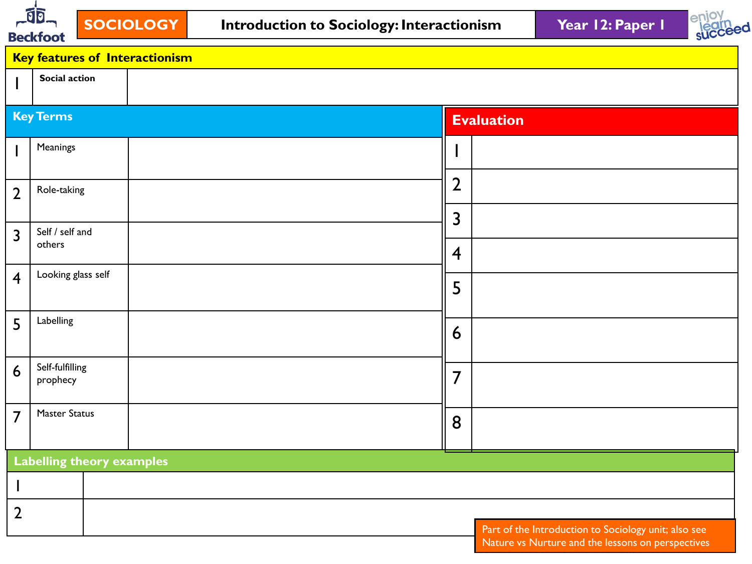



|                 | <b>Key features of Interactionism</b> |                                                                                                           |
|-----------------|---------------------------------------|-----------------------------------------------------------------------------------------------------------|
|                 | Social action                         |                                                                                                           |
|                 | <b>Key Terms</b>                      | <b>Evaluation</b>                                                                                         |
|                 | Meanings                              |                                                                                                           |
| $\overline{2}$  | Role-taking                           | $\overline{2}$                                                                                            |
|                 | Self / self and                       | $\overline{3}$                                                                                            |
| 3               | others                                | $\overline{4}$                                                                                            |
| $\overline{4}$  | Looking glass self                    | 5                                                                                                         |
| 5               | Labelling                             | 6                                                                                                         |
| $6\overline{6}$ | Self-fulfilling<br>prophecy           | $\overline{7}$                                                                                            |
| $\overline{7}$  | Master Status                         | 8                                                                                                         |
|                 | <b>Labelling theory examples</b>      |                                                                                                           |
|                 |                                       |                                                                                                           |
| $\overline{2}$  |                                       |                                                                                                           |
|                 |                                       | Part of the Introduction to Sociology unit; also see<br>Nature vs Nurture and the lessons on perspectives |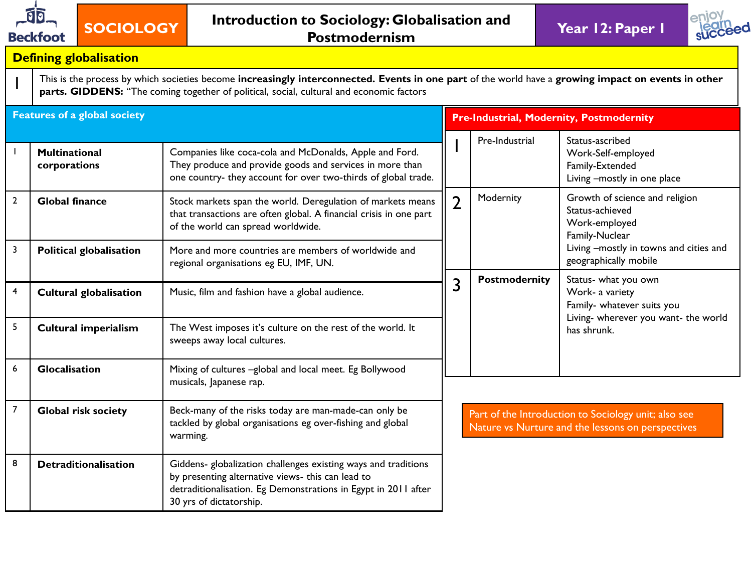

1



#### **Defining globalisation**

This is the process by which societies become **increasingly interconnected. Events in one part** of the world have a **growing impact on events in other**  parts. **GIDDENS:** "The coming together of political, social, cultural and economic factors

|                | Features of a global society         |                                                                                                                                                                                                                  | <b>Pre-Industrial, Modernity, Postmodernity</b> |                      |                                                                                                           |  |
|----------------|--------------------------------------|------------------------------------------------------------------------------------------------------------------------------------------------------------------------------------------------------------------|-------------------------------------------------|----------------------|-----------------------------------------------------------------------------------------------------------|--|
|                | <b>Multinational</b><br>corporations | Companies like coca-cola and McDonalds, Apple and Ford.<br>They produce and provide goods and services in more than<br>one country- they account for over two-thirds of global trade.                            |                                                 | Pre-Industrial       | Status-ascribed<br>Work-Self-employed<br>Family-Extended<br>Living -mostly in one place                   |  |
| $\overline{2}$ | <b>Global finance</b>                | Stock markets span the world. Deregulation of markets means<br>that transactions are often global. A financial crisis in one part<br>of the world can spread worldwide.                                          | $\overline{2}$                                  | Modernity            | Growth of science and religion<br>Status-achieved<br>Work-employed<br>Family-Nuclear                      |  |
| 3              | <b>Political globalisation</b>       | More and more countries are members of worldwide and<br>regional organisations eg EU, IMF, UN.                                                                                                                   |                                                 |                      | Living -mostly in towns and cities and<br>geographically mobile                                           |  |
| 4              | <b>Cultural globalisation</b>        | Music, film and fashion have a global audience.                                                                                                                                                                  | 3                                               | <b>Postmodernity</b> | Status- what you own<br>Work- a variety<br>Family- whatever suits you                                     |  |
| 5              | <b>Cultural imperialism</b>          | The West imposes it's culture on the rest of the world. It<br>sweeps away local cultures.                                                                                                                        |                                                 |                      | Living- wherever you want- the world<br>has shrunk.                                                       |  |
| 6              | Glocalisation                        | Mixing of cultures -global and local meet. Eg Bollywood<br>musicals, Japanese rap.                                                                                                                               |                                                 |                      |                                                                                                           |  |
| $\overline{7}$ | <b>Global risk society</b>           | Beck-many of the risks today are man-made-can only be<br>tackled by global organisations eg over-fishing and global<br>warming.                                                                                  |                                                 |                      | Part of the Introduction to Sociology unit; also see<br>Nature vs Nurture and the lessons on perspectives |  |
| 8              | <b>Detraditionalisation</b>          | Giddens- globalization challenges existing ways and traditions<br>by presenting alternative views- this can lead to<br>detraditionalisation. Eg Demonstrations in Egypt in 2011 after<br>30 yrs of dictatorship. |                                                 |                      |                                                                                                           |  |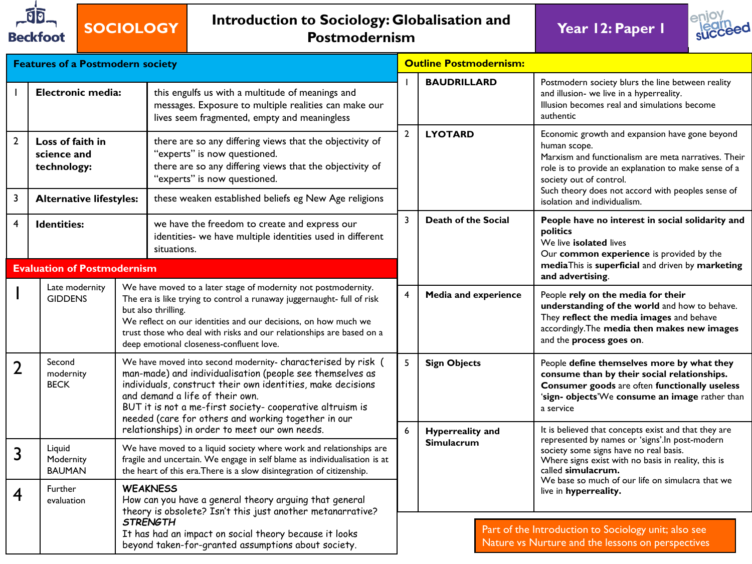

## **SOCIOLOGY Introduction to Sociology: Globalisation and Postmodernism Year 12: Paper 1**



| <b>Features of a Postmodern society</b> |                                                      |  |                                                                                                                                                                                                                                                                                                                                                       |                | <b>Outline Postmodernism:</b>                |                                                                                                                                                                                                                                                                |  |
|-----------------------------------------|------------------------------------------------------|--|-------------------------------------------------------------------------------------------------------------------------------------------------------------------------------------------------------------------------------------------------------------------------------------------------------------------------------------------------------|----------------|----------------------------------------------|----------------------------------------------------------------------------------------------------------------------------------------------------------------------------------------------------------------------------------------------------------------|--|
|                                         | Electronic media:                                    |  | this engulfs us with a multitude of meanings and<br>messages. Exposure to multiple realities can make our<br>lives seem fragmented, empty and meaningless                                                                                                                                                                                             |                | <b>BAUDRILLARD</b>                           | Postmodern society blurs the line between reality<br>and illusion- we live in a hyperreality.<br>Illusion becomes real and simulations become<br>authentic                                                                                                     |  |
| $\overline{2}$                          | Loss of faith in<br>science and<br>technology:       |  | there are so any differing views that the objectivity of<br>"experts" is now questioned.<br>there are so any differing views that the objectivity of<br>"experts" is now questioned.                                                                                                                                                                  | $\overline{2}$ | <b>LYOTARD</b>                               | Economic growth and expansion have gone beyond<br>human scope.<br>Marxism and functionalism are meta narratives. Their<br>role is to provide an explanation to make sense of a<br>society out of control.<br>Such theory does not accord with peoples sense of |  |
| 3<br>4                                  | <b>Alternative lifestyles:</b><br><b>Identities:</b> |  | these weaken established beliefs eg New Age religions<br>we have the freedom to create and express our<br>identities- we have multiple identities used in different<br>situations.                                                                                                                                                                    |                | <b>Death of the Social</b>                   | isolation and individualism.<br>People have no interest in social solidarity and<br>politics<br>We live isolated lives<br>Our common experience is provided by the                                                                                             |  |
| <b>Evaluation of Postmodernism</b>      |                                                      |  |                                                                                                                                                                                                                                                                                                                                                       |                |                                              | mediaThis is superficial and driven by marketing<br>and advertising.                                                                                                                                                                                           |  |
|                                         | Late modernity<br><b>GIDDENS</b>                     |  | We have moved to a later stage of modernity not postmodernity.<br>The era is like trying to control a runaway juggernaught- full of risk<br>but also thrilling.<br>We reflect on our identities and our decisions, on how much we<br>trust those who deal with risks and our relationships are based on a<br>deep emotional closeness-confluent love. |                | <b>Media and experience</b>                  | People rely on the media for their<br>understanding of the world and how to behave.<br>They reflect the media images and behave<br>accordingly. The media then makes new images<br>and the process goes on.                                                    |  |
| $\overline{2}$                          | Second<br>modernity<br><b>BECK</b>                   |  | We have moved into second modernity- characterised by risk (<br>man-made) and individualisation (people see themselves as<br>individuals, construct their own identities, make decisions<br>and demand a life of their own.<br>BUT it is not a me-first society- cooperative altruism is<br>needed (care for others and working together in our       |                | <b>Sign Objects</b>                          | People define themselves more by what they<br>consume than by their social relationships.<br>Consumer goods are often functionally useless<br>'sign- objects'We consume an image rather than<br>a service                                                      |  |
| 3                                       | Liquid<br>Modernity<br><b>BAUMAN</b>                 |  | relationships) in order to meet our own needs.<br>We have moved to a liquid society where work and relationships are<br>fragile and uncertain. We engage in self blame as individualisation is at<br>the heart of this era. There is a slow disintegration of citizenship.                                                                            | 6              | <b>Hyperreality and</b><br><b>Simulacrum</b> | It is believed that concepts exist and that they are<br>represented by names or 'signs'. In post-modern<br>society some signs have no real basis.<br>Where signs exist with no basis in reality, this is<br>called simulacrum.                                 |  |
| 4                                       | Further<br>evaluation                                |  | <b>WEAKNESS</b><br>How can you have a general theory arguing that general<br>theory is obsolete? Isn't this just another metanarrative?                                                                                                                                                                                                               |                |                                              | We base so much of our life on simulacra that we<br>live in hyperreality.                                                                                                                                                                                      |  |
|                                         |                                                      |  | <b>STRENGTH</b><br>It has had an impact on social theory because it looks<br>beyond taken-for-granted assumptions about society.                                                                                                                                                                                                                      |                |                                              | Part of the Introduction to Sociology unit; also see<br>Nature vs Nurture and the lessons on perspectives                                                                                                                                                      |  |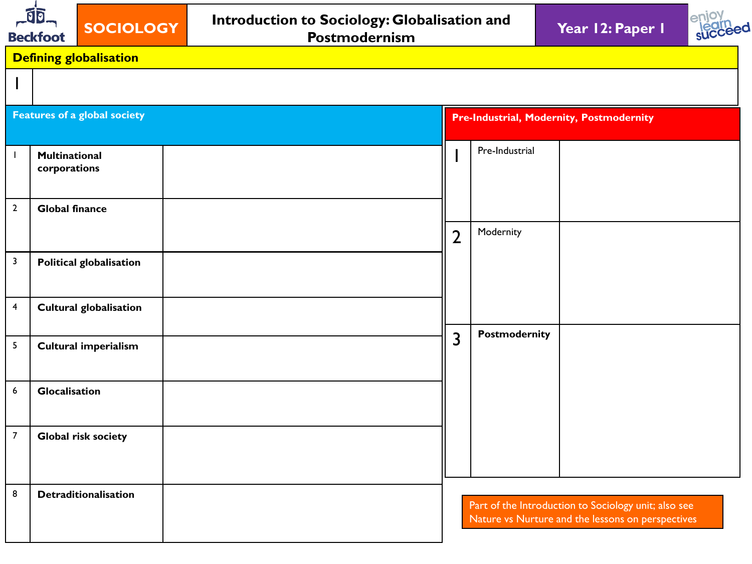| <b>JD</b><br><b>Beckfoot</b> |                               | SOCIOLOGY                           |  | Introduction to Sociology: Globalisation and<br>Postmodernism | Year 12: Paper 1 | enio <sup>®</sup>                               |                |                                                                                                           |  |  |
|------------------------------|-------------------------------|-------------------------------------|--|---------------------------------------------------------------|------------------|-------------------------------------------------|----------------|-----------------------------------------------------------------------------------------------------------|--|--|
|                              |                               | <b>Defining globalisation</b>       |  |                                                               |                  |                                                 |                |                                                                                                           |  |  |
|                              |                               |                                     |  |                                                               |                  |                                                 |                |                                                                                                           |  |  |
|                              |                               | <b>Features of a global society</b> |  |                                                               |                  | <b>Pre-Industrial, Modernity, Postmodernity</b> |                |                                                                                                           |  |  |
|                              | Multinational<br>corporations |                                     |  |                                                               |                  |                                                 | Pre-Industrial |                                                                                                           |  |  |
| $\mathbf{2}$                 | <b>Global finance</b>         |                                     |  |                                                               |                  | $\overline{2}$                                  | Modernity      |                                                                                                           |  |  |
| $\mathbf{3}$                 |                               | <b>Political globalisation</b>      |  |                                                               |                  |                                                 |                |                                                                                                           |  |  |
| 4                            |                               | <b>Cultural globalisation</b>       |  |                                                               |                  |                                                 |                |                                                                                                           |  |  |
| 5                            |                               | <b>Cultural imperialism</b>         |  |                                                               |                  | 3                                               | Postmodernity  |                                                                                                           |  |  |
| $\boldsymbol{6}$             | Glocalisation                 |                                     |  |                                                               |                  |                                                 |                |                                                                                                           |  |  |
| $\boldsymbol{7}$             |                               | Global risk society                 |  |                                                               |                  |                                                 |                |                                                                                                           |  |  |
| 8                            |                               | Detraditionalisation                |  |                                                               |                  |                                                 |                | Part of the Introduction to Sociology unit; also see<br>Nature vs Nurture and the lessons on perspectives |  |  |